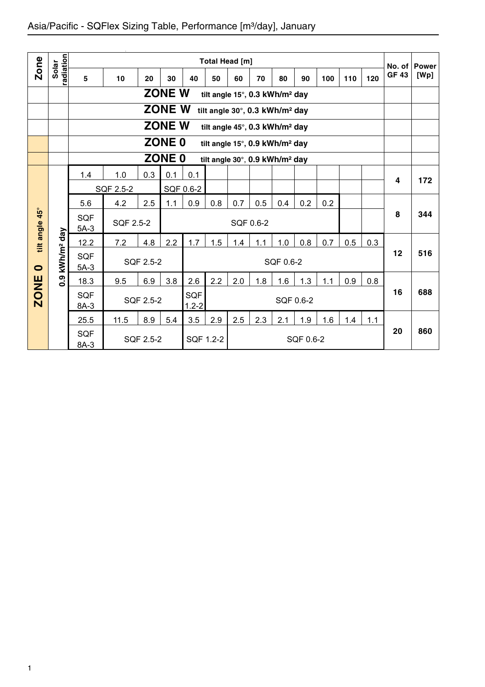| <b>Zone</b>  |                        |                      |           |           |                   |                         | Total Head [m] |     |                                            |           |           |     |     |     | No. of       | <b>Power</b> |
|--------------|------------------------|----------------------|-----------|-----------|-------------------|-------------------------|----------------|-----|--------------------------------------------|-----------|-----------|-----|-----|-----|--------------|--------------|
|              | radiation<br>Solar     | 5                    | 10        | 20        | 30                | 40                      | 50             | 60  | 70                                         | 80        | 90        | 100 | 110 | 120 | <b>GF 43</b> | [Wp]         |
|              |                        |                      |           |           | <b>ZONE W</b>     |                         |                |     | tilt angle 15°, 0.3 kWh/m <sup>2</sup> day |           |           |     |     |     |              |              |
|              |                        |                      |           |           | <b>ZONE W</b>     |                         |                |     | tilt angle 30°, 0.3 kWh/m <sup>2</sup> day |           |           |     |     |     |              |              |
|              |                        |                      |           |           | <b>ZONE W</b>     |                         |                |     | tilt angle 45°, 0.3 kWh/m <sup>2</sup> day |           |           |     |     |     |              |              |
|              |                        |                      |           |           | ZONE <sub>0</sub> |                         |                |     | tilt angle 15°, 0.9 kWh/m <sup>2</sup> day |           |           |     |     |     |              |              |
|              |                        |                      |           |           | <b>ZONE 0</b>     |                         |                |     | tilt angle 30°, 0.9 kWh/m <sup>2</sup> day |           |           |     |     |     |              |              |
|              |                        | 1.4                  | 1.0       | 0.3       | 0.1               | 0.1                     |                |     |                                            |           |           |     |     |     | 4            | 172          |
|              |                        |                      | SQF 2.5-2 |           |                   | SQF 0.6-2               |                |     |                                            |           |           |     |     |     |              |              |
|              |                        | 5.6                  | 4.2       | 2.5       | 1.1               | 0.9                     | 0.8            | 0.7 | 0.5                                        | 0.4       | 0.2       | 0.2 |     |     |              |              |
| $45^{\circ}$ |                        | <b>SQF</b><br>$5A-3$ | SQF 2.5-2 |           |                   |                         |                |     | SQF 0.6-2                                  |           |           |     |     |     | 8            | 344          |
| tilt angle   |                        | 12.2                 | 7.2       | 4.8       | 2.2               | 1.7                     | 1.5            | 1.4 | 1.1                                        | 1.0       | 0.8       | 0.7 | 0.5 | 0.3 |              |              |
| $\bullet$    | kWh/m <sup>2</sup> day | <b>SQF</b><br>$5A-3$ |           | SQF 2.5-2 |                   |                         |                |     |                                            | SQF 0.6-2 |           |     |     |     | 12           | 516          |
|              | 0.9                    | 18.3                 | 9.5       | 6.9       | 3.8               | 2.6                     | 2.2            | 2.0 | 1.8                                        | 1.6       | 1.3       | 1.1 | 0.9 | 0.8 |              |              |
| <b>ZONE</b>  |                        | <b>SQF</b><br>8A-3   |           | SQF 2.5-2 |                   | <b>SQF</b><br>$1.2 - 2$ |                |     |                                            |           | SQF 0.6-2 |     |     |     | 16           | 688          |
|              |                        | 25.5                 | 11.5      | 8.9       | 5.4               | 3.5                     | 2.9            | 2.5 | 2.3                                        | 2.1       | 1.9       | 1.6 | 1.4 | 1.1 |              |              |
|              |                        | <b>SQF</b><br>8A-3   |           | SQF 2.5-2 |                   |                         | SQF 1.2-2      |     |                                            |           | SQF 0.6-2 |     |     |     | 20           | 860          |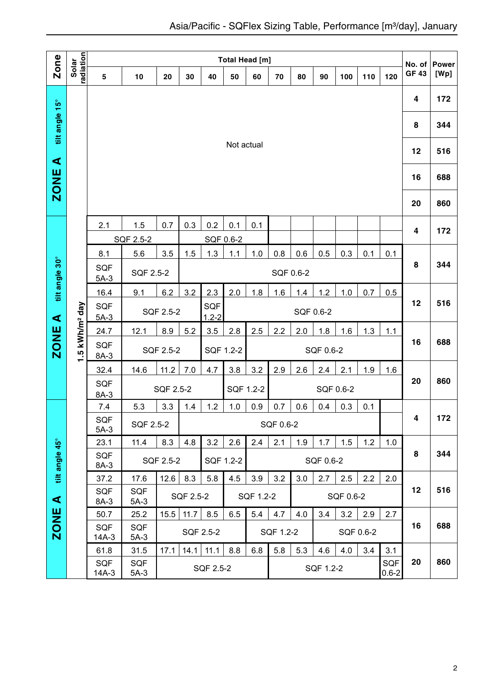| <b>Zone</b>          |                            |                      |                                            |           |           |           | Total Head [m] |           |           |     |           |           |           |                  | No. of       | <b>Power</b> |
|----------------------|----------------------------|----------------------|--------------------------------------------|-----------|-----------|-----------|----------------|-----------|-----------|-----|-----------|-----------|-----------|------------------|--------------|--------------|
|                      | radiation<br>Solar         | 5                    | 10                                         | 20        | 30        | 40        | 50             | 60        | 70        | 80  | 90        | 100       | 110       | 120              | <b>GF 43</b> | [Wp]         |
|                      |                            |                      |                                            |           |           |           |                |           |           |     |           |           |           |                  | 4            | 172          |
| tilt angle 15°       |                            |                      |                                            |           |           |           |                |           |           |     |           |           |           |                  | 8            | 344          |
| $\blacktriangleleft$ |                            |                      |                                            |           |           |           | Not actual     |           |           |     |           |           |           |                  | 12           | 516          |
| <b>ZONE</b>          |                            |                      |                                            |           |           |           |                |           |           |     |           |           |           |                  | 16           | 688          |
|                      |                            |                      |                                            |           |           |           |                |           |           |     |           |           |           |                  | 20           | 860          |
|                      |                            | 2.1                  | 1.5                                        | 0.7       | 0.3       | 0.2       | 0.1            | 0.1       |           |     |           |           |           |                  | 4            | 172          |
|                      |                            |                      | SQF 2.5-2                                  |           |           |           | SQF 0.6-2      |           |           |     |           |           |           |                  |              |              |
| tilt angle 30°       |                            | 8.1<br><b>SQF</b>    | 5.6                                        | 3.5       | 1.5       | 1.3       | 1.1            | 1.0       | 0.8       | 0.6 | 0.5       | 0.3       | 0.1       | 0.1              | 8            | 344          |
|                      |                            | $5A-3$               | SQF 2.5-2                                  |           |           |           |                |           | SQF 0.6-2 |     |           |           |           |                  |              |              |
|                      |                            | 16.4                 | 9.1                                        | 6.2       | 3.2       | 2.3       | 2.0            | 1.8       | 1.6       | 1.4 | 1.2       | 1.0       | 0.7       | 0.5              | 12           | 516          |
| $\blacktriangleleft$ |                            | SQF<br>$5A-3$        | SQF<br>SQF 2.5-2<br>SQF 0.6-2<br>$1.2 - 2$ |           |           |           |                |           |           |     |           |           |           |                  |              |              |
|                      |                            | 24.7                 | 12.1                                       | 8.9       | 5.2       | 3.5       | 2.8            | 2.5       | 2.2       | 2.0 | 1.8       | 1.6       | 1.3       | 1.1              |              |              |
| <b>ZONE</b>          | 1.5 kWh/m <sup>2</sup> day | SQF<br>8A-3          |                                            | SQF 2.5-2 |           | SQF 1.2-2 |                |           | SQF 0.6-2 |     |           |           | 16        | 688              |              |              |
|                      |                            | 32.4                 | 14.6                                       | 11.2      | 7.0       | 4.7       | 3.8            | 3.2       | 2.9       | 2.6 | 2.4       | 2.1       | 1.9       | 1.6              |              |              |
|                      |                            | <b>SQF</b><br>$8A-3$ |                                            | SQF 2.5-2 |           |           | SQF 1.2-2      |           |           |     |           | SQF 0.6-2 |           |                  | 20           | 860          |
|                      |                            | 7.4                  | 5.3                                        | 3.3       | 1.4       | 1.2       | 1.0            | 0.9       | 0.7       | 0.6 | 0.4       | 0.3       | 0.1       |                  |              |              |
|                      |                            | <b>SQF</b><br>$5A-3$ | SQF 2.5-2                                  |           |           |           |                |           | SQF 0.6-2 |     |           |           |           |                  | 4            | 172          |
|                      |                            | 23.1                 | 11.4                                       | 8.3       | 4.8       | 3.2       | 2.6            | 2.4       | 2.1       | 1.9 | 1.7       | 1.5       | 1.2       | 1.0              |              |              |
| tilt angle 45°       |                            | SQF<br>8A-3          |                                            | SQF 2.5-2 |           |           | SQF 1.2-2      |           |           |     | SQF 0.6-2 |           |           |                  | 8            | 344          |
|                      |                            | 37.2                 | 17.6                                       | 12.6      | 8.3       | 5.8       | 4.5            | 3.9       | 3.2       | 3.0 | 2.7       | 2.5       | 2.2       | 2.0              |              |              |
| ⋖                    |                            | <b>SQF</b><br>8A-3   | <b>SQF</b><br>$5A-3$                       |           | SQF 2.5-2 |           |                | SQF 1.2-2 |           |     |           | SQF 0.6-2 |           |                  | 12           | 516          |
|                      |                            | 50.7                 | 25.2                                       | 15.5      | 11.7      | 8.5       | 6.5            | 5.4       | 4.7       | 4.0 | 3.4       | 3.2       | 2.9       | 2.7              |              |              |
| <b>ZONE</b>          |                            | SQF<br>14A-3         | SQF<br>$5A-3$                              |           |           | SQF 2.5-2 |                |           | SQF 1.2-2 |     |           |           | SQF 0.6-2 |                  | 16           | 688          |
|                      |                            | 61.8                 | 31.5                                       | 17.1      | 14.1      | 11.1      | 8.8            | 6.8       | 5.8       | 5.3 | 4.6       | 4.0       | 3.4       | 3.1              |              |              |
|                      |                            | SQF<br>14A-3         | SQF<br>$5A-3$                              |           |           | SQF 2.5-2 |                |           |           |     | SQF 1.2-2 |           |           | SQF<br>$0.6 - 2$ | 20           | 860          |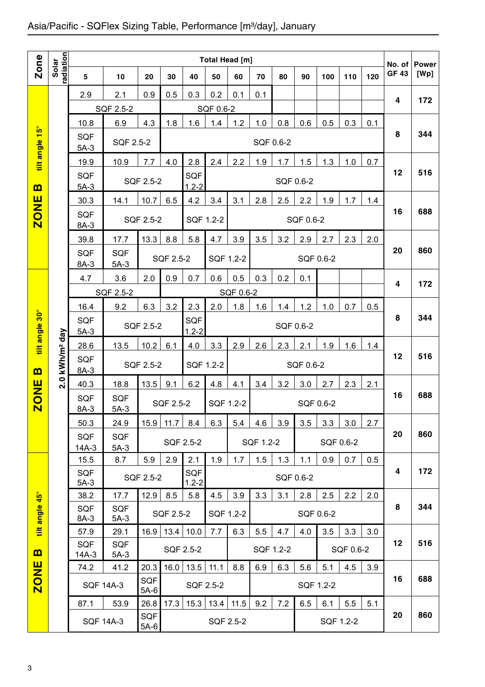## Asia/Pacific - SQFlex Sizing Table, Performance [m3/day], January

|                         |                        |                       |                      |               |           |                  | Total Head [m] |           |           |           |           |           |           |     | No. of       | <b>Power</b> |
|-------------------------|------------------------|-----------------------|----------------------|---------------|-----------|------------------|----------------|-----------|-----------|-----------|-----------|-----------|-----------|-----|--------------|--------------|
| Zone                    | radiation<br>Solar     | 5                     | 10                   | 20            | 30        | 40               | 50             | 60        | 70        | 80        | 90        | 100       | 110       | 120 | <b>GF 43</b> | [Wp]         |
|                         |                        | 2.9                   | 2.1                  | 0.9           | 0.5       | 0.3              | 0.2            | 0.1       | 0.1       |           |           |           |           |     | 4            | 172          |
|                         |                        |                       | SQF 2.5-2            |               |           |                  | SQF 0.6-2      |           |           |           |           |           |           |     |              |              |
|                         |                        | 10.8                  | 6.9                  | 4.3           | 1.8       | 1.6              | 1.4            | 1.2       | 1.0       | 0.8       | 0.6       | 0.5       | 0.3       | 0.1 |              |              |
| tilt angle 15°          |                        | <b>SQF</b><br>$5A-3$  | SQF 2.5-2            |               |           |                  |                |           | SQF 0.6-2 |           |           |           |           |     | 8            | 344          |
|                         |                        | 19.9                  | 10.9                 | 7.7           | 4.0       | 2.8              | 2.4            | 2.2       | 1.9       | 1.7       | 1.5       | 1.3       | 1.0       | 0.7 |              |              |
| $\mathbf{m}$            |                        | <b>SQF</b><br>$5A-3$  |                      | SQF 2.5-2     |           | SQF<br>$1.2 - 2$ |                |           |           |           | SQF 0.6-2 |           |           |     | 12           | 516          |
|                         |                        | 30.3                  | 14.1                 | 10.7          | 6.5       | 4.2              | 3.4            | 3.1       | 2.8       | 2.5       | 2.2       | 1.9       | 1.7       | 1.4 |              |              |
| <b>ZONE</b>             |                        | <b>SQF</b><br>$8A-3$  |                      | SQF 2.5-2     |           | SQF 1.2-2        |                |           |           |           | SQF 0.6-2 |           |           |     | 16           | 688          |
|                         |                        | 39.8                  | 17.7                 | 13.3          | 8.8       | 5.8              | 4.7            | 3.9       | 3.5       | 3.2       | 2.9       | 2.7       | 2.3       | 2.0 |              |              |
|                         |                        | <b>SQF</b><br>8A-3    | <b>SQF</b><br>$5A-3$ |               | SQF 2.5-2 |                  | SQF 1.2-2      |           |           |           |           | SQF 0.6-2 |           |     | 20           | 860          |
|                         |                        | 4.7                   | 3.6                  | 2.0           | 0.9       | 0.7              | 0.6            | 0.5       | 0.3       | 0.2       | 0.1       |           |           |     |              |              |
|                         |                        |                       | SQF 2.5-2            |               |           |                  |                | SQF 0.6-2 |           |           |           |           |           |     | 4            | 172          |
|                         |                        | 16.4                  | 9.2                  | 6.3           | 3.2       | 2.3              | 2.0            | 1.8       | 1.6       | 1.4       | 1.2       | 1.0       | 0.7       | 0.5 |              |              |
| tilt angle 30°          |                        | SQF                   |                      | SQF 2.5-2     |           | SQF              |                |           |           | SQF 0.6-2 |           |           |           |     | 8            | 344          |
|                         |                        | $5A-3$<br>28.6        | 13.5                 | 10.2          | 6.1       | $1.2 - 2$<br>4.0 | 3.3            | 2.9       | 2.6       | 2.3       | 2.1       | 1.9       | 1.6       | 1.4 |              |              |
|                         | kWh/m <sup>2</sup> day | <b>SQF</b>            |                      |               |           |                  |                |           |           |           |           |           |           |     | 12           | 516          |
| $\mathbf{m}$            |                        | 8A-3                  |                      | SQF 2.5-2     |           | SQF 1.2-2        |                |           |           |           | SQF 0.6-2 |           |           |     |              |              |
|                         | 2.0                    | 40.3                  | 18.8                 | 13.5          | 9.1       | 6.2              | 4.8            | 4.1       | 3.4       | 3.2       | 3.0       | 2.7       | 2.3       | 2.1 |              |              |
| <b>ZONE</b>             |                        | SQF<br>$8A-3$         | <b>SQF</b><br>$5A-3$ |               | SQF 2.5-2 |                  | SQF 1.2-2      |           |           |           |           | SQF 0.6-2 |           |     | 16           | 688          |
|                         |                        | 50.3                  | 24.9                 | 15.9          | 11.7      | 8.4              | 6.3            | 5.4       | 4.6       | 3.9       | 3.5       | 3.3       | 3.0       | 2.7 |              |              |
|                         |                        | <b>SQF</b>            | <b>SQF</b>           |               |           | SQF 2.5-2        |                |           | SQF 1.2-2 |           |           |           | SQF 0.6-2 |     | 20           | 860          |
|                         |                        | $14A-3$<br>15.5       | $5A-3$<br>8.7        | 5.9           | 2.9       | 2.1              | 1.9            | 1.7       | 1.5       | 1.3       | 1.1       | 0.9       | 0.7       | 0.5 |              |              |
|                         |                        | SQF                   |                      | SQF 2.5-2     |           | <b>SQF</b>       |                |           |           |           | SQF 0.6-2 |           |           |     | 4            | 172          |
|                         |                        | $5A-3$                |                      |               |           | $1.2 - 2$        |                |           |           |           |           |           |           |     |              |              |
|                         |                        | 38.2<br><b>SQF</b>    | 17.7<br><b>SQF</b>   | 12.9          | 8.5       | 5.8              | 4.5            | 3.9       | 3.3       | 3.1       | 2.8       | 2.5       | 2.2       | 2.0 | 8            | 344          |
| tilt angle 45°          |                        | 8A-3                  | 5A-3                 |               | SQF 2.5-2 |                  | SQF 1.2-2      |           |           |           |           | SQF 0.6-2 |           |     |              |              |
|                         |                        | 57.9                  | 29.1                 | 16.9          | 13.4      | 10.0             | 7.7            | 6.3       | 5.5       | 4.7       | 4.0       | 3.5       | 3.3       | 3.0 |              |              |
| $\mathbf{m}$            |                        | <b>SQF</b><br>$14A-3$ | <b>SQF</b><br>$5A-3$ |               |           | SQF 2.5-2        |                |           |           | SQF 1.2-2 |           |           | SQF 0.6-2 |     | 12           | 516          |
| $\frac{1}{2}$           |                        | 74.2                  | 41.2                 | 20.3          | 16.0      | 13.5             | 11.1           | 8.8       | 6.9       | 6.3       | 5.6       | 5.1       | 4.5       | 3.9 |              |              |
| $\overline{\mathbf{C}}$ |                        | <b>SQF 14A-3</b>      |                      | SQF<br>$5A-6$ |           | SQF 2.5-2        |                |           |           |           |           | SQF 1.2-2 |           |     | 16           | 688          |
|                         |                        | 87.1                  | 53.9                 | 26.8          | 17.3      | 15.3             | 13.4           | 11.5      | 9.2       | 7.2       | 6.5       | 6.1       | 5.5       | 5.1 |              |              |
|                         |                        | <b>SQF 14A-3</b>      |                      | SQF<br>$5A-6$ |           |                  | SQF 2.5-2      |           |           |           |           |           | SQF 1.2-2 |     | 20           | 860          |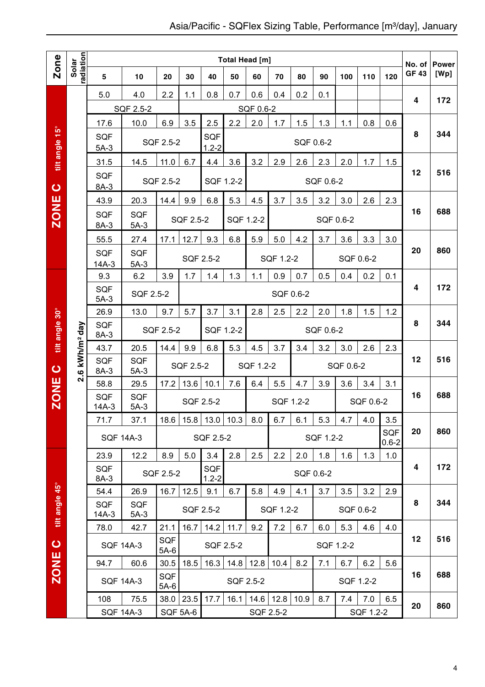|                |                                 |                         |                      |                      |                  |                         | Total Head [m] |           |           |      |           |           |           |                         | No. of       | <b>Power</b> |
|----------------|---------------------------------|-------------------------|----------------------|----------------------|------------------|-------------------------|----------------|-----------|-----------|------|-----------|-----------|-----------|-------------------------|--------------|--------------|
| Zone           | Solar<br>radiation              | 5                       | 10                   | 20                   | 30               | 40                      | 50             | 60        | 70        | 80   | 90        | 100       | 110       | 120                     | <b>GF 43</b> | [Wp]         |
|                |                                 | 5.0                     | 4.0                  | 2.2                  | 1.1              | 0.8                     | 0.7            | 0.6       | 0.4       | 0.2  | 0.1       |           |           |                         | 4            | 172          |
|                |                                 |                         | SQF 2.5-2            |                      |                  |                         |                | SQF 0.6-2 |           |      |           |           |           |                         |              |              |
|                |                                 | 17.6                    | 10.0                 | 6.9                  | 3.5              | 2.5                     | 2.2            | 2.0       | 1.7       | 1.5  | 1.3       | 1.1       | 0.8       | 0.6                     |              |              |
| tilt angle 15° |                                 | <b>SQF</b><br>$5A-3$    |                      | SQF 2.5-2            |                  | <b>SQF</b><br>$1.2 - 2$ |                |           |           |      | SQF 0.6-2 |           |           |                         | 8            | 344          |
|                |                                 | 31.5                    | 14.5                 | 11.0                 | 6.7              | 4.4                     | 3.6            | 3.2       | 2.9       | 2.6  | 2.3       | 2.0       | 1.7       | 1.5                     |              |              |
| $\bullet$      |                                 | <b>SQF</b><br>8A-3      |                      | SQF 2.5-2            |                  | SQF 1.2-2               |                |           |           |      | SQF 0.6-2 |           |           |                         | 12           | 516          |
|                |                                 | 43.9                    | 20.3                 | 14.4                 | 9.9              | 6.8                     | 5.3            | 4.5       | 3.7       | 3.5  | 3.2       | 3.0       | 2.6       | 2.3                     |              |              |
| <b>ZONE</b>    |                                 | <b>SQF</b><br>$8A-3$    | <b>SQF</b><br>$5A-3$ |                      | SQF 2.5-2        |                         | SQF 1.2-2      |           |           |      | SQF 0.6-2 |           |           |                         | 16           | 688          |
|                |                                 | 55.5                    | 27.4                 | 17.1                 | 12.7             | 9.3                     | 6.8            | 5.9       | 5.0       | 4.2  | 3.7       | 3.6       | 3.3       | 3.0                     |              |              |
|                |                                 | <b>SQF</b><br>$14A-3$   | <b>SQF</b><br>$5A-3$ |                      |                  | SQF 2.5-2               |                |           | SQF 1.2-2 |      |           |           | SQF 0.6-2 |                         | 20           | 860          |
|                |                                 | 9.3                     | 6.2                  | 3.9                  | 1.7              | 1.4                     | 1.3            | 1.1       | 0.9       | 0.7  | 0.5       | 0.4       | 0.2       | 0.1                     |              |              |
|                |                                 | <b>SQF</b><br>$5A-3$    | <b>SQF 2.5-2</b>     |                      |                  |                         |                |           | SQF 0.6-2 |      |           |           |           |                         | 4            | 172          |
|                |                                 | 26.9                    | 13.0                 | 9.7                  | 5.7              | 3.7                     | 3.1            | 2.8       | 2.5       | 2.2  | 2.0       | 1.8       | 1.5       | 1.2                     |              |              |
| tilt angle 30° | kWh/m <sup>2</sup> day          | <b>SQF</b><br>8A-3      |                      | SQF 2.5-2            |                  | SQF 1.2-2               |                |           |           |      | SQF 0.6-2 |           |           |                         | 8            | 344          |
|                |                                 | 43.7                    | 20.5                 | 14.4                 | 9.9              | 6.8                     | 5.3            | 4.5       | 3.7       | 3.4  | 3.2       | 3.0       | 2.6       | 2.3                     |              |              |
| $\bullet$      | $\ddot{\mathbf{e}}$<br><b>N</b> | <b>SQF</b><br>8A-3      | <b>SQF</b><br>$5A-3$ |                      | SQF 2.5-2        |                         |                | SQF 1.2-2 |           |      |           | SQF 0.6-2 |           |                         | 12           | 516          |
|                |                                 | 58.8                    | 29.5                 | 17.2                 | 13.6             | 10.1                    | 7.6            | 6.4       | 5.5       | 4.7  | 3.9       | 3.6       | 3.4       | 3.1                     |              |              |
| <b>ZONE</b>    |                                 | <b>SQF</b><br>$14A-3$   | <b>SQF</b><br>$5A-3$ |                      |                  | SQF 2.5-2               |                |           | SQF 1.2-2 |      |           |           | SQF 0.6-2 |                         | 16           | 688          |
|                |                                 | 71.7                    | 37.1                 | 18.6                 | 15.8             | 13.0                    | 10.3           | 8.0       | 6.7       | 6.1  | 5.3       | 4.7       | 4.0       | 3.5                     |              |              |
|                |                                 | <b>SQF 14A-3</b>        |                      |                      |                  | SQF 2.5-2               |                |           |           |      | SQF 1.2-2 |           |           | <b>SQF</b><br>$0.6 - 2$ | 20           | 860          |
|                |                                 | 23.9                    | 12.2                 | 8.9                  | 5.0              | 3.4                     | 2.8            | 2.5       | 2.2       | 2.0  | 1.8       | 1.6       | 1.3       | 1.0                     | 4            | 172          |
|                |                                 | SQF<br>8A-3             |                      | SQF 2.5-2            |                  | <b>SQF</b><br>$1.2 - 2$ |                |           |           |      | SQF 0.6-2 |           |           |                         |              |              |
|                |                                 | 54.4                    | 26.9                 | 16.7                 | $12.5$           | 9.1                     | 6.7            | 5.8       | 4.9       | 4.1  | 3.7       | 3.5       | 3.2       | 2.9                     |              |              |
| tilt angle 45° |                                 | <b>SQF</b><br>$14A-3$   | <b>SQF</b><br>$5A-3$ |                      |                  | SQF 2.5-2               |                |           | SQF 1.2-2 |      |           |           | SQF 0.6-2 |                         | 8            | 344          |
|                |                                 | 78.0                    | 42.7                 | 21.1                 | 16.7             | 14.2                    | 11.7           | 9.2       | 7.2       | 6.7  | 6.0       | 5.3       | 4.6       | 4.0                     |              | 516          |
| $\bullet$      |                                 |                         | <b>SQF 14A-3</b>     | <b>SQF</b><br>$5A-6$ |                  | SQF 2.5-2               |                |           |           |      | SQF 1.2-2 |           |           |                         | 12           |              |
| <b>ZONE</b>    |                                 | 94.7                    | 60.6                 | 30.5                 | 18.5             | 16.3                    | 14.8           | 12.8      | 10.4      | 8.2  | 7.1       | 6.7       | 6.2       | 5.6                     | 16           | 688          |
|                |                                 | <b>SQF 14A-3</b>        |                      | SQF<br>$5A-6$        |                  |                         | SQF 2.5-2      |           |           |      |           |           | SQF 1.2-2 |                         |              |              |
|                |                                 | 108<br><b>SQF 14A-3</b> | 75.5                 | 38.0                 | 23.5<br>SQF 5A-6 | 17.7                    | 16.1           | 14.6      | 12.8      | 10.9 | 8.7       | 7.4       | 7.0       | 6.5                     | 20           | 860          |
|                |                                 |                         |                      |                      |                  |                         |                |           | SQF 2.5-2 |      |           |           | SQF 1.2-2 |                         |              |              |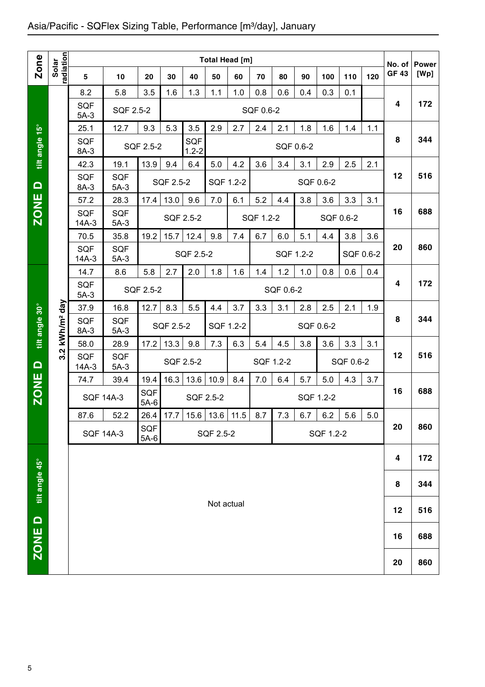## Asia/Pacific - SQFlex Sizing Table, Performance [m3/day], January

|                  |                        |                       |                        |               |           |                         |            | <b>Total Head [m]</b> |           |           |           |           |           |     |                        |                      |
|------------------|------------------------|-----------------------|------------------------|---------------|-----------|-------------------------|------------|-----------------------|-----------|-----------|-----------|-----------|-----------|-----|------------------------|----------------------|
| <b>Zone</b>      | radiation<br>Solar     | 5                     | 10                     | 20            | 30        | 40                      | 50         | 60                    | 70        | 80        | 90        | 100       | 110       | 120 | No. of<br><b>GF 43</b> | <b>Power</b><br>[Wp] |
|                  |                        | 8.2                   | 5.8                    | 3.5           | 1.6       | 1.3                     | 1.1        | 1.0                   | 0.8       | 0.6       | 0.4       | 0.3       | 0.1       |     |                        |                      |
|                  |                        | <b>SQF</b><br>$5A-3$  | <b>SQF 2.5-2</b>       |               |           |                         |            |                       | SQF 0.6-2 |           |           |           |           |     | 4                      | 172                  |
|                  |                        | 25.1                  | 12.7                   | 9.3           | 5.3       | 3.5                     | 2.9        | 2.7                   | 2.4       | 2.1       | 1.8       | 1.6       | 1.4       | 1.1 |                        |                      |
| tilt angle 15°   |                        | <b>SQF</b><br>8A-3    |                        | SQF 2.5-2     |           | <b>SQF</b><br>$1.2 - 2$ |            |                       |           | SQF 0.6-2 |           |           |           |     | 8                      | 344                  |
|                  |                        | 42.3                  | 19.1                   | 13.9          | 9.4       | 6.4                     | 5.0        | 4.2                   | 3.6       | 3.4       | 3.1       | 2.9       | 2.5       | 2.1 |                        |                      |
| $\Omega$         |                        | <b>SQF</b><br>8A-3    | <b>SQF</b><br>$5A-3$   |               | SQF 2.5-2 |                         | SQF 1.2-2  |                       |           |           |           | SQF 0.6-2 |           |     | 12                     | 516                  |
|                  |                        | 57.2                  | 28.3                   | 17.4          | 13.0      | 9.6                     | 7.0        | 6.1                   | 5.2       | 4.4       | 3.8       | 3.6       | 3.3       | 3.1 |                        |                      |
| ZONE <sup></sup> |                        | <b>SQF</b><br>$14A-3$ | <b>SQF</b><br>$5A-3$   |               |           | SQF 2.5-2               |            |                       | SQF 1.2-2 |           |           | SQF 0.6-2 |           |     | 16                     | 688                  |
|                  |                        | 70.5                  | 35.8                   | 19.2          | 15.7      | 12.4                    | 9.8        | 7.4                   | 6.7       | 6.0       | 5.1       | 4.4       | 3.8       | 3.6 |                        |                      |
|                  |                        | <b>SQF</b><br>$14A-3$ | <b>SQF</b><br>$5A-3$   |               |           | SQF 2.5-2               |            |                       |           | SQF 1.2-2 |           |           | SQF 0.6-2 |     | 20                     | 860                  |
|                  |                        | 14.7                  | 8.6                    | 5.8           | 2.7       | 2.0                     | 1.8        | 1.6                   | 1.4       | 1.2       | 1.0       | 0.8       | 0.6       | 0.4 |                        |                      |
|                  |                        | <b>SQF</b><br>$5A-3$  | SQF 2.5-2<br>SQF 0.6-2 |               |           |                         |            |                       |           |           |           |           |           |     | 4                      | 172                  |
|                  |                        | 37.9                  | 16.8                   | 12.7          | 8.3       | 5.5                     | 4.4        | 3.7                   | 3.3       | 3.1       | 2.8       | 2.5       | 2.1       | 1.9 |                        |                      |
| tilt angle 30°   | kWh/m <sup>2</sup> day | <b>SQF</b><br>8A-3    | <b>SQF</b><br>$5A-3$   |               | SQF 2.5-2 |                         | SQF 1.2-2  |                       |           |           | SQF 0.6-2 |           |           |     | 8                      | 344                  |
|                  | $\mathbf{N}$           | 58.0                  | 28.9                   | 17.2          | 13.3      | 9.8                     | 7.3        | 6.3                   | 5.4       | 4.5       | 3.8       | 3.6       | 3.3       | 3.1 |                        |                      |
| $\Omega$         | က                      | <b>SQF</b><br>14A-3   | <b>SQF</b><br>$5A-3$   |               |           | SQF 2.5-2               |            |                       | SQF 1.2-2 |           |           |           | SQF 0.6-2 |     | 12                     | 516                  |
|                  |                        | 74.7                  | 39.4                   | 19.4          | 16.3      | 13.6                    | 10.9       | 8.4                   | 7.0       | 6.4       | 5.7       | 5.0       | 4.3       | 3.7 |                        |                      |
| ZONE <sup></sup> |                        | <b>SQF 14A-3</b>      |                        | SQF<br>$5A-6$ |           | SQF 2.5-2               |            |                       |           |           |           | SQF 1.2-2 |           |     | 16                     | 688                  |
|                  |                        | 87.6                  | 52.2                   | 26.4          | 17.7      |                         |            | 15.6   13.6   11.5    | 8.7       | 7.3       | 6.7       | 6.2       | 5.6       | 5.0 |                        |                      |
|                  |                        |                       | <b>SQF 14A-3</b>       | SQF<br>$5A-6$ |           |                         | SQF 2.5-2  |                       |           |           |           | SQF 1.2-2 |           |     | 20                     | 860                  |
|                  |                        |                       |                        |               |           |                         |            |                       |           |           |           |           |           |     | 4                      | 172                  |
| tilt angle 45°   |                        |                       |                        |               |           |                         |            |                       |           |           |           |           |           |     | 8                      | 344                  |
|                  |                        |                       |                        |               |           |                         | Not actual |                       |           |           |           |           |           |     | 12                     | 516                  |
| $\Omega$<br>ZONE |                        |                       |                        |               |           |                         |            |                       |           |           |           |           |           |     | 16                     | 688                  |
|                  |                        |                       |                        |               |           |                         |            |                       |           |           |           |           |           |     | 20                     | 860                  |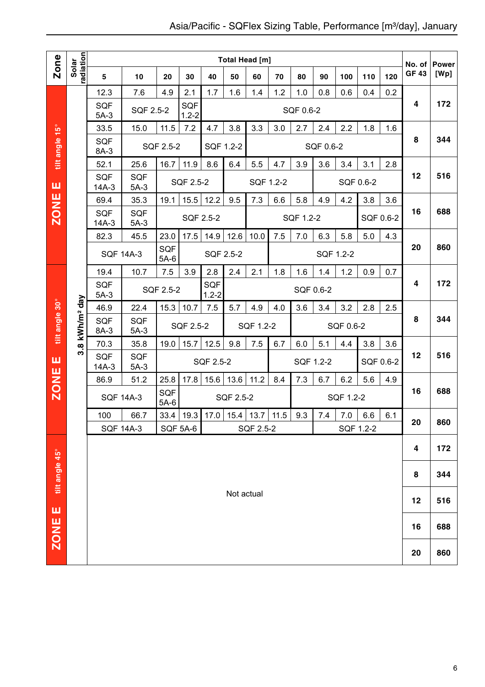|                |                            |                       |                                            |                      |                  |           | <b>Total Head [m]</b>       |           |     |           |           |           |           |           | No. of       | <b>Power</b> |
|----------------|----------------------------|-----------------------|--------------------------------------------|----------------------|------------------|-----------|-----------------------------|-----------|-----|-----------|-----------|-----------|-----------|-----------|--------------|--------------|
| Zone           | radiation<br>Solar         | 5                     | 10                                         | 20                   | 30               | 40        | 50                          | 60        | 70  | 80        | 90        | 100       | 110       | 120       | <b>GF 43</b> | [Wp]         |
|                |                            | 12.3                  | 7.6                                        | 4.9                  | 2.1              | 1.7       | 1.6                         | 1.4       | 1.2 | 1.0       | 0.8       | 0.6       | 0.4       | 0.2       |              |              |
|                |                            | <b>SQF</b><br>$5A-3$  | SQF 2.5-2                                  |                      | SQF<br>$1.2 - 2$ |           |                             |           |     | SQF 0.6-2 |           |           |           |           | 4            | 172          |
|                |                            | 33.5                  | 15.0                                       | 11.5                 | 7.2              | 4.7       | 3.8                         | 3.3       | 3.0 | 2.7       | 2.4       | 2.2       | 1.8       | 1.6       |              |              |
| tilt angle 15° |                            | <b>SQF</b><br>8A-3    |                                            | SQF 2.5-2            |                  | SQF 1.2-2 |                             |           |     |           | SQF 0.6-2 |           |           |           | 8            | 344          |
|                |                            | 52.1                  | 25.6                                       | 16.7                 | 11.9             | 8.6       | 6.4                         | 5.5       | 4.7 | 3.9       | 3.6       | 3.4       | 3.1       | 2.8       |              |              |
| ш              |                            | <b>SQF</b><br>$14A-3$ | <b>SQF</b><br>$5A-3$                       |                      | SQF 2.5-2        |           |                             | SQF 1.2-2 |     |           |           |           | SQF 0.6-2 |           | 12           | 516          |
|                |                            | 69.4                  | 35.3                                       | 19.1                 | 15.5             | 12.2      | 9.5                         | 7.3       | 6.6 | 5.8       | 4.9       | 4.2       | 3.8       | 3.6       |              |              |
| <b>ZONE</b>    |                            | <b>SQF</b><br>$14A-3$ | <b>SQF</b><br>$5A-3$                       |                      |                  | SQF 2.5-2 |                             |           |     | SQF 1.2-2 |           |           |           | SQF 0.6-2 | 16           | 688          |
|                |                            | 82.3                  | 45.5                                       | 23.0                 | 17.5             | 14.9      | 12.6                        | 10.0      | 7.5 | 7.0       | 6.3       | 5.8       | 5.0       | 4.3       |              |              |
|                |                            |                       | <b>SQF 14A-3</b>                           | <b>SQF</b><br>$5A-6$ |                  | SQF 2.5-2 |                             |           |     |           | SQF 1.2-2 |           |           |           | 20           | 860          |
|                |                            | 19.4                  | 10.7                                       | 7.5                  | 3.9              | 2.8       | 2.4                         | 2.1       | 1.8 | 1.6       | 1.4       | 1.2       | 0.9       | 0.7       |              |              |
|                |                            | <b>SQF</b><br>$5A-3$  | SQF<br>SQF 2.5-2<br>SQF 0.6-2<br>$1.2 - 2$ |                      |                  |           |                             |           |     |           |           |           |           |           |              | 172          |
|                |                            | 46.9                  | 22.4                                       | 15.3                 | 10.7             | 7.5       | 5.7                         | 4.9       | 4.0 | 3.6       | 3.4       | 3.2       | 2.8       | 2.5       |              |              |
| tilt angle 30° | 3.8 kWh/m <sup>2</sup> day | <b>SQF</b><br>8A-3    | <b>SQF</b><br>$5A-3$                       |                      | SQF 2.5-2        |           |                             | SQF 1.2-2 |     |           |           | SQF 0.6-2 |           |           | 8            | 344          |
|                |                            | 70.3                  | 35.8                                       | 19.0                 | 15.7             | 12.5      | 9.8                         | 7.5       | 6.7 | 6.0       | 5.1       | 4.4       | 3.8       | 3.6       |              |              |
| ш              |                            | <b>SQF</b><br>$14A-3$ | <b>SQF</b><br>$5A-3$                       |                      |                  | SQF 2.5-2 |                             |           |     |           | SQF 1.2-2 |           |           | SQF 0.6-2 | 12           | 516          |
| <b>ZONE</b>    |                            | 86.9                  | 51.2                                       | 25.8                 | 17.8             | 15.6      | 13.6                        | 11.2      | 8.4 | 7.3       | 6.7       | 6.2       | 5.6       | 4.9       |              |              |
|                |                            |                       | <b>SQF 14A-3</b>                           | <b>SQF</b><br>$5A-6$ |                  |           | SQF 2.5-2                   |           |     |           |           | SQF 1.2-2 |           |           | 16           | 688          |
|                |                            | 100                   | 66.7                                       |                      | 33.4   19.3      |           | $17.0$   15.4   13.7   11.5 |           |     | 9.3       | 7.4       | 7.0       | 6.6       | 6.1       | 20           | 860          |
|                |                            |                       | <b>SQF 14A-3</b>                           |                      | SQF 5A-6         |           |                             | SQF 2.5-2 |     |           |           |           | SQF 1.2-2 |           |              |              |
|                |                            |                       |                                            |                      |                  |           |                             |           |     |           |           |           |           |           | 4            | 172          |
| tilt angle 45° |                            |                       |                                            |                      |                  |           |                             |           |     |           |           |           |           |           | 8            | 344          |
| ш              |                            |                       |                                            |                      |                  |           | Not actual                  |           |     |           |           |           |           |           | 12           | 516          |
| <b>ZONE</b>    |                            |                       |                                            |                      |                  |           |                             |           |     |           |           |           |           |           | 16           | 688          |
|                |                            |                       |                                            |                      |                  |           |                             |           |     |           |           |           |           |           | 20           | 860          |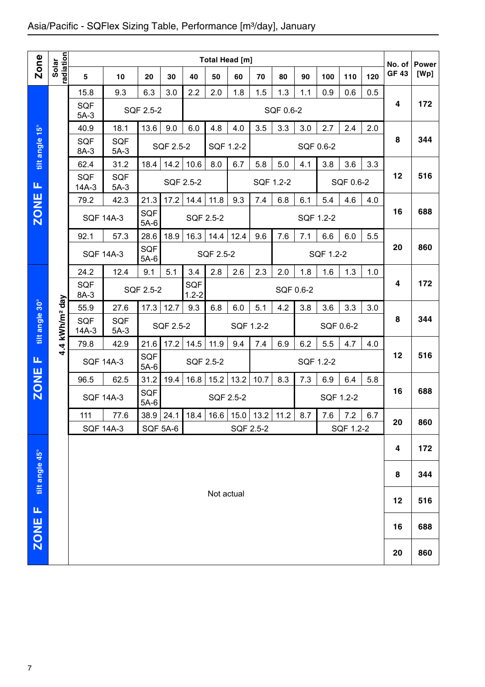## Asia/Pacific - SQFlex Sizing Table, Performance [m<sup>3</sup>/day], January

|                |                        |                       |                      |                      |                  |                  |                  | <b>Total Head [m]</b> |           |           |     |           |           |     |                       |                      |
|----------------|------------------------|-----------------------|----------------------|----------------------|------------------|------------------|------------------|-----------------------|-----------|-----------|-----|-----------|-----------|-----|-----------------------|----------------------|
| <b>Zone</b>    | radiation<br>Solar     | 5                     | 10                   | 20                   | 30               | 40               | 50               | 60                    | 70        | 80        | 90  | 100       | 110       | 120 | No. of<br><b>GF43</b> | <b>Power</b><br>[Wp] |
|                |                        | 15.8                  | 9.3                  | 6.3                  | 3.0              | 2.2              | 2.0              | 1.8                   | 1.5       | 1.3       | 1.1 | 0.9       | 0.6       | 0.5 |                       |                      |
|                |                        | <b>SQF</b><br>$5A-3$  |                      | SQF 2.5-2            |                  |                  |                  |                       |           | SQF 0.6-2 |     |           |           |     | 4                     | 172                  |
|                |                        | 40.9                  | 18.1                 | 13.6                 | 9.0              | 6.0              | 4.8              | 4.0                   | 3.5       | 3.3       | 3.0 | 2.7       | 2.4       | 2.0 |                       |                      |
| tilt angle 15° |                        | <b>SQF</b><br>8A-3    | SQF<br>$5A-3$        |                      | SQF 2.5-2        |                  | SQF 1.2-2        |                       |           |           |     | SQF 0.6-2 |           |     | 8                     | 344                  |
|                |                        | 62.4                  | 31.2                 | 18.4                 | 14.2             | 10.6             | 8.0              | 6.7                   | 5.8       | 5.0       | 4.1 | 3.8       | 3.6       | 3.3 |                       |                      |
| ட              |                        | <b>SQF</b><br>$14A-3$ | <b>SQF</b><br>$5A-3$ |                      | SQF 2.5-2        |                  |                  |                       | SQF 1.2-2 |           |     |           | SQF 0.6-2 |     | 12                    | 516                  |
|                |                        | 79.2                  | 42.3                 | 21.3                 | 17.2             | 14.4             | 11.8             | 9.3                   | 7.4       | 6.8       | 6.1 | 5.4       | 4.6       | 4.0 |                       |                      |
| <b>ZONE</b>    |                        | <b>SQF 14A-3</b>      |                      | <b>SQF</b><br>$5A-6$ |                  | <b>SQF 2.5-2</b> |                  |                       |           |           |     | SQF 1.2-2 |           |     | 16                    | 688                  |
|                |                        | 92.1                  | 57.3                 | 28.6                 | 18.9             | 16.3             | 14.4             | 12.4                  | 9.6       | 7.6       | 7.1 | 6.6       | 6.0       | 5.5 |                       |                      |
|                |                        | <b>SQF 14A-3</b>      |                      | SQF<br>$5A-6$        |                  |                  | <b>SQF 2.5-2</b> |                       |           |           |     | SQF 1.2-2 |           |     | 20                    | 860                  |
|                |                        | 24.2                  | 12.4                 | 9.1                  | 5.1              | 3.4              | 2.8              | 2.6                   | 2.3       | 2.0       | 1.8 | 1.6       | 1.3       | 1.0 |                       |                      |
|                |                        | <b>SQF</b><br>8A-3    |                      | SQF 2.5-2            |                  | SQF<br>$1.2 - 2$ |                  |                       |           | SQF 0.6-2 |     |           |           |     | 4                     | 172                  |
|                |                        | 55.9                  | 27.6                 | 17.3                 | 12.7             | 9.3              | 6.8              | 6.0                   | 5.1       | 4.2       | 3.8 | 3.6       | 3.3       | 3.0 |                       |                      |
| tilt angle 30° | kWh/m <sup>2</sup> day | <b>SQF</b><br>$14A-3$ | <b>SQF</b><br>$5A-3$ |                      | <b>SQF 2.5-2</b> |                  |                  | SQF 1.2-2             |           |           |     | SQF 0.6-2 |           |     | 8                     | 344                  |
|                | $\overline{a}$<br>ਚੰ   | 79.8                  | 42.9                 | 21.6                 | 17.2             | 14.5             | 11.9             | 9.4                   | 7.4       | 6.9       | 6.2 | 5.5       | 4.7       | 4.0 |                       |                      |
| Щ              |                        | <b>SQF 14A-3</b>      |                      | SQF<br>$5A-6$        |                  | SQF 2.5-2        |                  |                       |           |           |     | SQF 1.2-2 |           |     | 12                    | 516                  |
| <b>ZONE</b>    |                        | 96.5                  | 62.5                 | 31.2                 | 19.4             | 16.8             | 15.2             | 13.2                  | 10.7      | 8.3       | 7.3 | 6.9       | 6.4       | 5.8 |                       |                      |
|                |                        | <b>SQF 14A-3</b>      |                      | SQF<br>$5A-6$        |                  |                  | SQF 2.5-2        |                       |           |           |     | SQF 1.2-2 |           |     | 16                    | 688                  |
|                |                        | 111                   | 77.6                 |                      | 38.9 24.1        | 18.4             | 16.6             | $15.0$ 13.2           |           | 11.2      | 8.7 | 7.6       | 7.2       | 6.7 | 20                    | 860                  |
|                |                        | <b>SQF 14A-3</b>      |                      | <b>SQF 5A-6</b>      |                  |                  |                  | SQF 2.5-2             |           |           |     |           | SQF 1.2-2 |     |                       |                      |
|                |                        |                       |                      |                      |                  |                  |                  |                       |           |           |     |           |           |     | 4                     | 172                  |
| tilt angle 45° |                        |                       |                      |                      |                  |                  |                  |                       |           |           |     |           |           |     | 8                     | 344                  |
|                |                        |                       |                      |                      |                  |                  | Not actual       |                       |           |           |     |           |           |     | 12                    | 516                  |
| Щ              |                        |                       |                      |                      |                  |                  |                  |                       |           |           |     |           |           |     | 16                    | 688                  |
| <b>ZONE</b>    |                        |                       |                      |                      |                  |                  |                  |                       |           |           |     |           |           |     | 20                    | 860                  |
|                |                        |                       |                      |                      |                  |                  |                  |                       |           |           |     |           |           |     |                       |                      |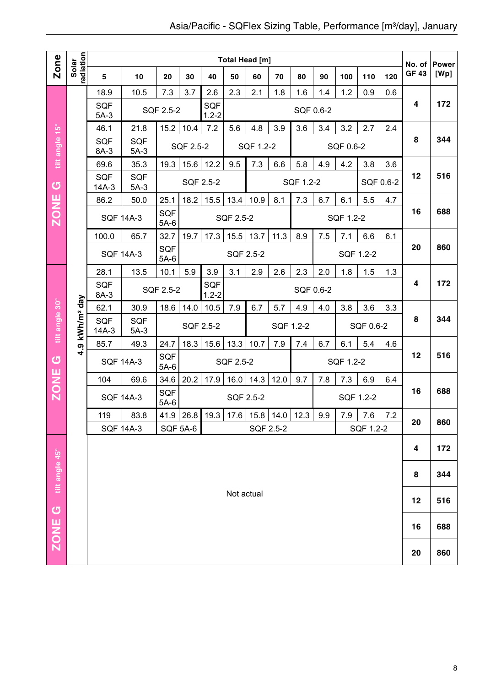|                |                            |                       |                      |                      |               |                  |            | <b>Total Head [m]</b> |                    |           |     |           |           |           | No. of       | <b>Power</b> |
|----------------|----------------------------|-----------------------|----------------------|----------------------|---------------|------------------|------------|-----------------------|--------------------|-----------|-----|-----------|-----------|-----------|--------------|--------------|
| Zone           | radiation<br>Solar         | 5                     | 10                   | 20                   | 30            | 40               | 50         | 60                    | 70                 | 80        | 90  | 100       | 110       | 120       | <b>GF 43</b> | [Wp]         |
|                |                            | 18.9                  | 10.5                 | 7.3                  | 3.7           | 2.6              | 2.3        | 2.1                   | 1.8                | 1.6       | 1.4 | 1.2       | 0.9       | 0.6       |              |              |
|                |                            | <b>SQF</b><br>$5A-3$  |                      | SQF 2.5-2            |               | SQF<br>$1.2 - 2$ |            |                       |                    | SQF 0.6-2 |     |           |           |           | 4            | 172          |
|                |                            | 46.1                  | 21.8                 | 15.2                 | 10.4          | 7.2              | 5.6        | 4.8                   | 3.9                | 3.6       | 3.4 | 3.2       | 2.7       | 2.4       |              |              |
| tilt angle 15° |                            | <b>SQF</b><br>8A-3    | <b>SQF</b><br>$5A-3$ |                      | SQF 2.5-2     |                  |            | SQF 1.2-2             |                    |           |     | SQF 0.6-2 |           |           | 8            | 344          |
|                |                            | 69.6                  | 35.3                 | 19.3                 | 15.6          | 12.2             | 9.5        | 7.3                   | 6.6                | 5.8       | 4.9 | 4.2       | 3.8       | 3.6       |              |              |
| $\sigma$       |                            | <b>SQF</b><br>$14A-3$ | <b>SQF</b><br>$5A-3$ |                      | SQF 2.5-2     |                  |            |                       |                    | SQF 1.2-2 |     |           |           | SQF 0.6-2 | 12           | 516          |
|                |                            | 86.2                  | 50.0                 | 25.1                 | 18.2          | 15.5             | 13.4       | 10.9                  | 8.1                | 7.3       | 6.7 | 6.1       | 5.5       | 4.7       |              |              |
| <b>ZONE</b>    |                            |                       | <b>SQF 14A-3</b>     | <b>SQF</b><br>$5A-6$ |               |                  | SQF 2.5-2  |                       |                    |           |     | SQF 1.2-2 |           |           | 16           | 688          |
|                |                            | 100.0                 | 65.7                 | 32.7                 | 19.7          | 17.3             | 15.5       | 13.7                  | 11.3               | 8.9       | 7.5 | 7.1       | 6.6       | 6.1       |              |              |
|                |                            |                       | <b>SQF 14A-3</b>     | SQF<br>$5A-6$        |               |                  | SQF 2.5-2  |                       |                    |           |     |           | SQF 1.2-2 |           | 20           | 860          |
|                |                            | 28.1                  | 13.5                 | 10.1                 | 5.9           | 3.9              | 3.1        | 2.9                   | 2.6                | 2.3       | 2.0 | 1.8       | 1.5       | 1.3       |              |              |
|                |                            | <b>SQF</b><br>8A-3    |                      | SQF 2.5-2            |               | SQF<br>$1.2 - 2$ |            |                       |                    | SQF 0.6-2 |     |           |           |           | 4            | 172          |
|                |                            | 62.1                  | 30.9                 | 18.6                 | 14.0          | 10.5             | 7.9        | 6.7                   | 5.7                | 4.9       | 4.0 | 3.8       | 3.6       | 3.3       |              |              |
| tilt angle 30° | 4.9 kWh/m <sup>2</sup> day | SQF<br>$14A-3$        | <b>SQF</b><br>$5A-3$ |                      |               | SQF 2.5-2        |            |                       | SQF 1.2-2          |           |     |           | SQF 0.6-2 |           | 8            | 344          |
|                |                            | 85.7                  | 49.3                 | 24.7                 | 18.3          | 15.6             | 13.3       | 10.7                  | 7.9                | 7.4       | 6.7 | 6.1       | 5.4       | 4.6       |              |              |
| $\sigma$       |                            | <b>SQF 14A-3</b>      |                      | SQF<br>$5A-6$        |               |                  | SQF 2.5-2  |                       |                    |           |     | SQF 1.2-2 |           |           | 12           | 516          |
|                |                            | 104                   | 69.6                 | 34.6                 | 20.2          | 17.9             | 16.0       | 14.3                  | 12.0               | 9.7       | 7.8 | 7.3       | 6.9       | 6.4       |              |              |
| <b>ZONE</b>    |                            |                       | <b>SQF 14A-3</b>     | SQF<br>$5A-6$        |               |                  |            | SQF 2.5-2             |                    |           |     |           | SQF 1.2-2 |           | 16           | 688          |
|                |                            | 119                   | 83.8                 |                      | $41.9$   26.8 | 19.3             | 17.6       |                       | 15.8   14.0   12.3 |           | 9.9 | 7.9       | 7.6       | 7.2       | 20           | 860          |
|                |                            |                       | <b>SQF 14A-3</b>     |                      | SQF 5A-6      |                  |            | SQF 2.5-2             |                    |           |     |           | SQF 1.2-2 |           |              |              |
|                |                            |                       |                      |                      |               |                  |            |                       |                    |           |     |           |           |           | 4            | 172          |
| tilt angle 45° |                            |                       |                      |                      |               |                  |            |                       |                    |           |     |           |           |           | 8            | 344          |
|                |                            |                       |                      |                      |               |                  | Not actual |                       |                    |           |     |           |           |           | 12           | 516          |
| ZONE G         |                            |                       |                      |                      |               |                  |            |                       |                    |           |     |           |           |           | 16           | 688          |
|                |                            |                       |                      |                      |               |                  |            |                       |                    |           |     |           |           |           | 20           | 860          |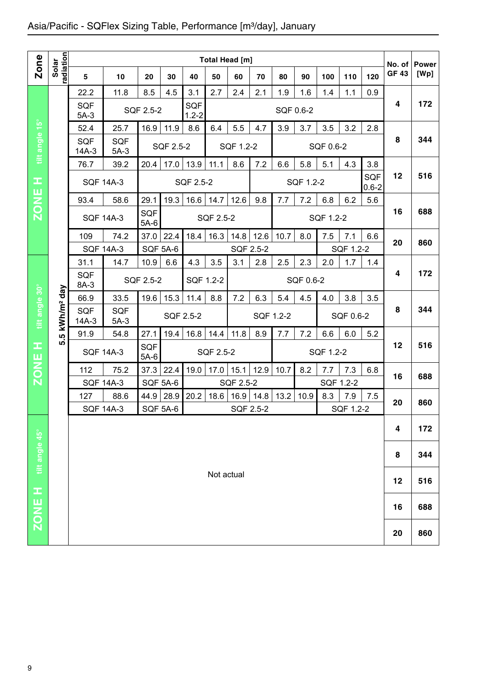## Asia/Pacific - SQFlex Sizing Table, Performance [m<sup>3</sup>/day], January

|                |                        |                      |                      |                      |                 |                         | Total Head [m] |           |           |           |           |           |           |                         |                        |                      |
|----------------|------------------------|----------------------|----------------------|----------------------|-----------------|-------------------------|----------------|-----------|-----------|-----------|-----------|-----------|-----------|-------------------------|------------------------|----------------------|
| Zone           | Solar<br>radiation     | 5                    | 10                   | 20                   | 30              | 40                      | 50             | 60        | 70        | 80        | 90        | 100       | 110       | 120                     | No. of<br><b>GF 43</b> | <b>Power</b><br>[Wp] |
|                |                        | 22.2                 | 11.8                 | 8.5                  | 4.5             | 3.1                     | 2.7            | 2.4       | 2.1       | 1.9       | 1.6       | 1.4       | 1.1       | 0.9                     |                        |                      |
|                |                        | <b>SQF</b><br>$5A-3$ |                      | SQF 2.5-2            |                 | <b>SQF</b><br>$1.2 - 2$ |                |           |           | SQF 0.6-2 |           |           |           |                         | 4                      | 172                  |
|                |                        | 52.4                 | 25.7                 | 16.9                 | 11.9            | 8.6                     | 6.4            | 5.5       | 4.7       | 3.9       | 3.7       | 3.5       | 3.2       | 2.8                     |                        |                      |
| tilt angle 15° |                        | SQF<br>$14A-3$       | <b>SQF</b><br>$5A-3$ |                      | SQF 2.5-2       |                         |                | SQF 1.2-2 |           |           |           | SQF 0.6-2 |           |                         | 8                      | 344                  |
|                |                        | 76.7                 | 39.2                 | 20.4                 | 17.0            | 13.9                    | 11.1           | 8.6       | 7.2       | 6.6       | 5.8       | 5.1       | 4.3       | 3.8                     |                        |                      |
| x,             |                        | <b>SQF 14A-3</b>     |                      |                      |                 | SQF 2.5-2               |                |           |           |           | SQF 1.2-2 |           |           | <b>SQF</b><br>$0.6 - 2$ | 12                     | 516                  |
| <b>ZONE</b>    |                        | 93.4                 | 58.6                 | 29.1                 | 19.3            | 16.6                    | 14.7           | 12.6      | 9.8       | 7.7       | 7.2       | 6.8       | 6.2       | 5.6                     |                        |                      |
|                |                        | <b>SQF 14A-3</b>     |                      | SQF<br>$5A-6$        |                 |                         | SQF 2.5-2      |           |           |           |           | SQF 1.2-2 |           |                         | 16                     | 688                  |
|                |                        | 109                  | 74.2                 | 37.0                 | 22.4            | 18.4                    | 16.3           | 14.8      | 12.6      | 10.7      | 8.0       | 7.5       | 7.1       | 6.6                     | 20                     | 860                  |
|                |                        | <b>SQF 14A-3</b>     |                      | <b>SQF 5A-6</b>      |                 |                         |                | SQF 2.5-2 |           |           |           |           | SQF 1.2-2 |                         |                        |                      |
|                |                        | 31.1                 | 14.7                 | 10.9                 | 6.6             | 4.3                     | 3.5            | 3.1       | 2.8       | 2.5       | 2.3       | 2.0       | 1.7       | 1.4                     |                        |                      |
|                |                        | <b>SQF</b><br>8A-3   |                      | SQF 2.5-2            |                 | SQF 1.2-2               |                |           |           |           | SQF 0.6-2 |           |           |                         | 4                      | 172                  |
|                |                        | 66.9                 | 33.5                 | 19.6                 | 15.3            | 11.4                    | 8.8            | 7.2       | 6.3       | 5.4       | 4.5       | 4.0       | 3.8       | 3.5                     |                        |                      |
| tilt angle 30° | kWh/m <sup>2</sup> day | SQF<br>$14A-3$       | <b>SQF</b><br>$5A-3$ |                      |                 | SQF 2.5-2               |                |           | SQF 1.2-2 |           |           |           | SQF 0.6-2 |                         | 8                      | 344                  |
|                | <u> ၊ ဂ</u>            | 91.9                 | 54.8                 | 27.1                 | 19.4            | 16.8                    | 14.4           | 11.8      | 8.9       | 7.7       | 7.2       | 6.6       | 6.0       | 5.2                     |                        |                      |
| œ              | <u>ທ</u>               | <b>SQF 14A-3</b>     |                      | <b>SQF</b><br>$5A-6$ |                 |                         | SQF 2.5-2      |           |           |           |           | SQF 1.2-2 |           |                         | 12                     | 516                  |
| <b>ZONE</b>    |                        | 112                  | 75.2                 | 37.3                 | 22.4            | 19.0                    | 17.0           | 15.1      | 12.9      | 10.7      | 8.2       | 7.7       | 7.3       | 6.8                     | 16                     | 688                  |
|                |                        | <b>SQF 14A-3</b>     |                      | <b>SQF 5A-6</b>      |                 |                         |                | SQF 2.5-2 |           |           |           | SQF 1.2-2 |           |                         |                        |                      |
|                |                        | 127                  | 88.6                 | 44.9                 | 28.9            | 20.2                    | 18.6           | 16.9      | 14.8      | 13.2      | 10.9      | 8.3       | 7.9       | 7.5                     | 20                     | 860                  |
|                |                        | <b>SQF 14A-3</b>     |                      |                      | <b>SQF 5A-6</b> |                         |                | SQF 2.5-2 |           |           |           |           | SQF 1.2-2 |                         |                        |                      |
|                |                        |                      |                      |                      |                 |                         |                |           |           |           |           |           |           |                         | 4                      | 172                  |
| tilt angle 45° |                        |                      |                      |                      |                 |                         |                |           |           |           |           |           |           |                         | 8                      | 344                  |
|                |                        |                      |                      |                      |                 |                         | Not actual     |           |           |           |           |           |           |                         | 12                     | 516                  |
|                |                        |                      |                      |                      |                 |                         |                |           |           |           |           |           |           |                         |                        |                      |
| ZONE H         |                        |                      |                      |                      |                 |                         |                |           |           |           |           |           |           |                         | 16                     | 688                  |
|                |                        |                      |                      |                      |                 |                         |                |           |           |           |           |           |           |                         | 20                     | 860                  |